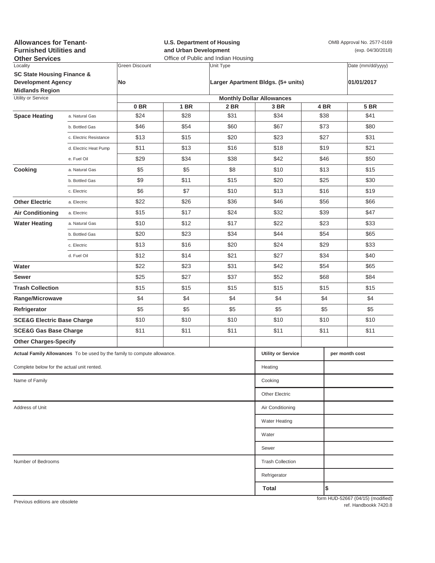| <b>Allowances for Tenant-</b><br><b>Furnished Utilities and</b><br><b>Other Services</b>     |                           |                                  | <b>U.S. Department of Housing</b><br>and Urban Development<br>Office of Public and Indian Housing |                |                                    |      | OMB Approval No. 2577-0169<br>(exp. 04/30/2018) |                                   |  |  |
|----------------------------------------------------------------------------------------------|---------------------------|----------------------------------|---------------------------------------------------------------------------------------------------|----------------|------------------------------------|------|-------------------------------------------------|-----------------------------------|--|--|
| Locality                                                                                     |                           | <b>Green Discount</b>            |                                                                                                   | Unit Type      |                                    |      |                                                 | Date (mm/dd/yyyy)                 |  |  |
| <b>SC State Housing Finance &amp;</b><br><b>Development Agency</b><br><b>Midlands Region</b> |                           | <b>No</b>                        |                                                                                                   |                | Larger Apartment Bldgs. (5+ units) |      |                                                 | 01/01/2017                        |  |  |
| Utility or Service                                                                           |                           | <b>Monthly Dollar Allowances</b> |                                                                                                   |                |                                    |      |                                                 |                                   |  |  |
|                                                                                              |                           | 0 BR                             | <b>1 BR</b>                                                                                       | 2 BR           | 3 BR                               | 4 BR |                                                 | <b>5 BR</b>                       |  |  |
| <b>Space Heating</b>                                                                         | a. Natural Gas            | \$24                             | \$28                                                                                              | \$31           | \$34                               | \$38 |                                                 | \$41                              |  |  |
|                                                                                              | b. Bottled Gas            | \$46                             | \$54                                                                                              | \$60           | \$67                               | \$73 |                                                 | \$80                              |  |  |
|                                                                                              | c. Electric Resistance    | \$13                             | \$15                                                                                              | \$20           | \$23                               | \$27 |                                                 | \$31                              |  |  |
|                                                                                              | d. Electric Heat Pump     | \$11                             | \$13                                                                                              | \$16           | \$18                               | \$19 |                                                 | \$21                              |  |  |
|                                                                                              | e. Fuel Oil               | \$29                             | \$34                                                                                              | \$38           | \$42                               | \$46 |                                                 | \$50                              |  |  |
| Cooking                                                                                      | a. Natural Gas            | \$5                              | \$5                                                                                               | \$8            | \$10                               | \$13 |                                                 | \$15                              |  |  |
|                                                                                              | b. Bottled Gas            | \$9                              | \$11                                                                                              | \$15           | \$20                               | \$25 |                                                 | \$30                              |  |  |
|                                                                                              | c. Electric               | \$6                              | \$7                                                                                               | \$10           | \$13                               | \$16 |                                                 | \$19                              |  |  |
| <b>Other Electric</b>                                                                        | a. Electric               | \$22                             | \$26                                                                                              | \$36           | \$46                               | \$56 |                                                 | \$66                              |  |  |
| <b>Air Conditioning</b>                                                                      | a. Electric               | \$15                             | \$17                                                                                              | \$24           | \$32                               | \$39 |                                                 | \$47                              |  |  |
| <b>Water Heating</b>                                                                         | a. Natural Gas            | \$10                             | \$12                                                                                              | \$17           | \$22                               | \$23 |                                                 | \$33                              |  |  |
|                                                                                              | b. Bottled Gas            | \$20                             | \$23                                                                                              | \$34           | \$44                               | \$54 |                                                 | \$65                              |  |  |
|                                                                                              | c. Electric               | \$13                             | \$16                                                                                              | \$20           | \$24                               | \$29 |                                                 | \$33                              |  |  |
|                                                                                              | d. Fuel Oil               | \$12                             | \$14                                                                                              | \$21           | \$27                               | \$34 |                                                 | \$40                              |  |  |
| Water                                                                                        |                           | \$22                             | \$23                                                                                              | \$31           | \$42                               | \$54 |                                                 | \$65                              |  |  |
| <b>Sewer</b>                                                                                 |                           | \$25                             | \$27                                                                                              | \$37           | \$52                               | \$68 |                                                 | \$84                              |  |  |
| <b>Trash Collection</b>                                                                      |                           | \$15                             | \$15                                                                                              | \$15           | \$15                               | \$15 |                                                 | \$15                              |  |  |
| Range/Microwave                                                                              |                           | \$4                              | \$4                                                                                               | \$4            | \$4                                |      | \$4                                             | \$4                               |  |  |
| Refrigerator                                                                                 |                           | \$5                              | \$5                                                                                               | \$5            | \$5                                | \$5  |                                                 | \$5                               |  |  |
| <b>SCE&amp;G Electric Base Charge</b>                                                        |                           | \$10                             | \$10                                                                                              | \$10           | \$10                               | \$10 |                                                 | \$10                              |  |  |
| <b>SCE&amp;G Gas Base Charge</b>                                                             |                           | \$11                             | \$11                                                                                              | \$11           | \$11                               | \$11 |                                                 | \$11                              |  |  |
| <b>Other Charges-Specify</b>                                                                 |                           |                                  |                                                                                                   |                |                                    |      |                                                 |                                   |  |  |
| Actual Family Allowances To be used by the family to compute allowance.                      | <b>Utility or Service</b> |                                  |                                                                                                   | per month cost |                                    |      |                                                 |                                   |  |  |
| Complete below for the actual unit rented.                                                   |                           |                                  |                                                                                                   |                | Heating                            |      |                                                 |                                   |  |  |
| Name of Family                                                                               |                           |                                  |                                                                                                   |                | Cooking                            |      |                                                 |                                   |  |  |
|                                                                                              |                           |                                  |                                                                                                   |                | <b>Other Electric</b>              |      |                                                 |                                   |  |  |
| Address of Unit                                                                              | Air Conditioning          |                                  |                                                                                                   |                |                                    |      |                                                 |                                   |  |  |
|                                                                                              |                           |                                  |                                                                                                   |                | <b>Water Heating</b>               |      |                                                 |                                   |  |  |
|                                                                                              |                           |                                  |                                                                                                   |                | Water                              |      |                                                 |                                   |  |  |
|                                                                                              |                           |                                  |                                                                                                   |                | Sewer                              |      |                                                 |                                   |  |  |
| Number of Bedrooms                                                                           | <b>Trash Collection</b>   |                                  |                                                                                                   |                |                                    |      |                                                 |                                   |  |  |
|                                                                                              |                           |                                  |                                                                                                   |                | Refrigerator                       |      |                                                 |                                   |  |  |
|                                                                                              |                           |                                  |                                                                                                   |                | Total                              |      | \$                                              |                                   |  |  |
| Previous editions are obsolete                                                               |                           |                                  |                                                                                                   |                |                                    |      |                                                 | form HUD-52667 (04/15) (modified) |  |  |